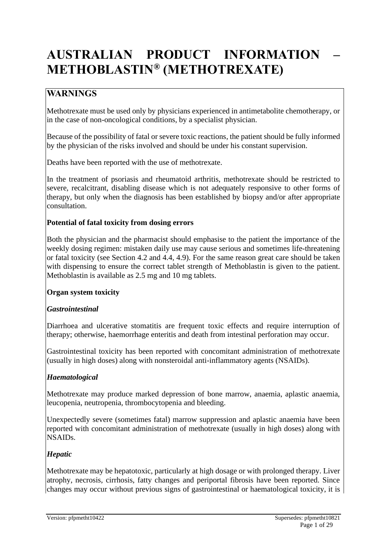# **AUSTRALIAN PRODUCT INFORMATION – METHOBLASTIN® (METHOTREXATE)**

# **WARNINGS**

Methotrexate must be used only by physicians experienced in antimetabolite chemotherapy, or in the case of non-oncological conditions, by a specialist physician.

Because of the possibility of fatal or severe toxic reactions, the patient should be fully informed by the physician of the risks involved and should be under his constant supervision.

Deaths have been reported with the use of methotrexate.

In the treatment of psoriasis and rheumatoid arthritis, methotrexate should be restricted to severe, recalcitrant, disabling disease which is not adequately responsive to other forms of therapy, but only when the diagnosis has been established by biopsy and/or after appropriate consultation.

### **Potential of fatal toxicity from dosing errors**

Both the physician and the pharmacist should emphasise to the patient the importance of the weekly dosing regimen: mistaken daily use may cause serious and sometimes life-threatening or fatal toxicity (see Section 4.2 and 4.4, 4.9). For the same reason great care should be taken with dispensing to ensure the correct tablet strength of Methoblastin is given to the patient. Methoblastin is available as 2.5 mg and 10 mg tablets.

#### **Organ system toxicity**

#### *Gastrointestinal*

Diarrhoea and ulcerative stomatitis are frequent toxic effects and require interruption of therapy; otherwise, haemorrhage enteritis and death from intestinal perforation may occur.

Gastrointestinal toxicity has been reported with concomitant administration of methotrexate (usually in high doses) along with nonsteroidal anti-inflammatory agents (NSAIDs).

#### *Haematological*

Methotrexate may produce marked depression of bone marrow, anaemia, aplastic anaemia, leucopenia, neutropenia, thrombocytopenia and bleeding.

Unexpectedly severe (sometimes fatal) marrow suppression and aplastic anaemia have been reported with concomitant administration of methotrexate (usually in high doses) along with NSAIDs.

#### *Hepatic*

Methotrexate may be hepatotoxic, particularly at high dosage or with prolonged therapy. Liver atrophy, necrosis, cirrhosis, fatty changes and periportal fibrosis have been reported. Since changes may occur without previous signs of gastrointestinal or haematological toxicity, it is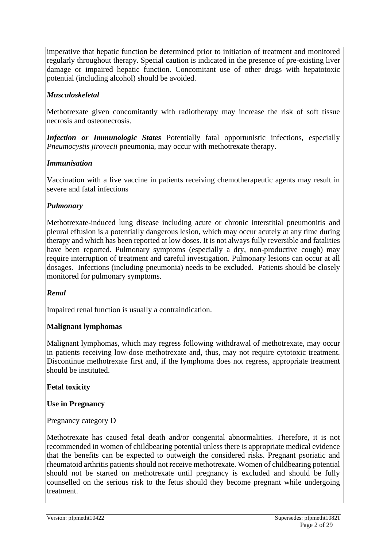imperative that hepatic function be determined prior to initiation of treatment and monitored regularly throughout therapy. Special caution is indicated in the presence of pre-existing liver damage or impaired hepatic function. Concomitant use of other drugs with hepatotoxic potential (including alcohol) should be avoided.

# *Musculoskeletal*

Methotrexate given concomitantly with radiotherapy may increase the risk of soft tissue necrosis and osteonecrosis.

*Infection or Immunologic States* Potentially fatal opportunistic infections, especially *Pneumocystis jirovecii* pneumonia, may occur with methotrexate therapy.

# *Immunisation*

Vaccination with a live vaccine in patients receiving chemotherapeutic agents may result in severe and fatal infections

# *Pulmonary*

Methotrexate-induced lung disease including acute or chronic interstitial pneumonitis and pleural effusion is a potentially dangerous lesion, which may occur acutely at any time during therapy and which has been reported at low doses. It is not always fully reversible and fatalities have been reported. Pulmonary symptoms (especially a dry, non-productive cough) may require interruption of treatment and careful investigation. Pulmonary lesions can occur at all dosages. Infections (including pneumonia) needs to be excluded. Patients should be closely monitored for pulmonary symptoms.

# *Renal*

Impaired renal function is usually a contraindication.

# **Malignant lymphomas**

Malignant lymphomas, which may regress following withdrawal of methotrexate, may occur in patients receiving low-dose methotrexate and, thus, may not require cytotoxic treatment. Discontinue methotrexate first and, if the lymphoma does not regress, appropriate treatment should be instituted.

**Fetal toxicity** 

**Use in Pregnancy**

Pregnancy category D

Methotrexate has caused fetal death and/or congenital abnormalities. Therefore, it is not recommended in women of childbearing potential unless there is appropriate medical evidence that the benefits can be expected to outweigh the considered risks. Pregnant psoriatic and rheumatoid arthritis patients should not receive methotrexate. Women of childbearing potential should not be started on methotrexate until pregnancy is excluded and should be fully counselled on the serious risk to the fetus should they become pregnant while undergoing treatment.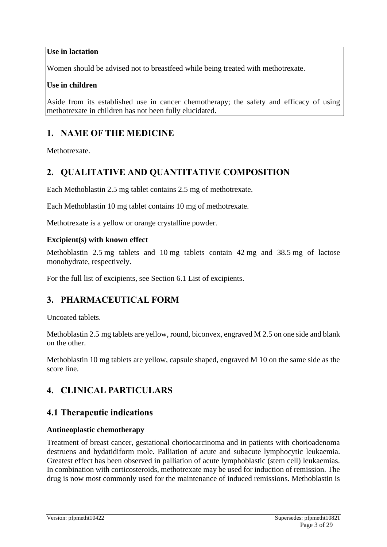# **Use in lactation**

Women should be advised not to breastfeed while being treated with methotrexate.

# **Use in children**

Aside from its established use in cancer chemotherapy; the safety and efficacy of using methotrexate in children has not been fully elucidated.

# **1. NAME OF THE MEDICINE**

Methotrexate.

# **2. QUALITATIVE AND QUANTITATIVE COMPOSITION**

Each Methoblastin 2.5 mg tablet contains 2.5 mg of methotrexate.

Each Methoblastin 10 mg tablet contains 10 mg of methotrexate.

Methotrexate is a yellow or orange crystalline powder.

### **Excipient(s) with known effect**

Methoblastin 2.5 mg tablets and 10 mg tablets contain 42 mg and 38.5 mg of lactose monohydrate, respectively.

For the full list of excipients, see Section 6.1 List of excipients.

# **3. PHARMACEUTICAL FORM**

Uncoated tablets.

Methoblastin 2.5 mg tablets are yellow, round, biconvex, engraved M 2.5 on one side and blank on the other.

Methoblastin 10 mg tablets are yellow, capsule shaped, engraved M 10 on the same side as the score line.

# **4. CLINICAL PARTICULARS**

# **4.1 Therapeutic indications**

# **Antineoplastic chemotherapy**

Treatment of breast cancer, gestational choriocarcinoma and in patients with chorioadenoma destruens and hydatidiform mole. Palliation of acute and subacute lymphocytic leukaemia. Greatest effect has been observed in palliation of acute lymphoblastic (stem cell) leukaemias. In combination with corticosteroids, methotrexate may be used for induction of remission. The drug is now most commonly used for the maintenance of induced remissions. Methoblastin is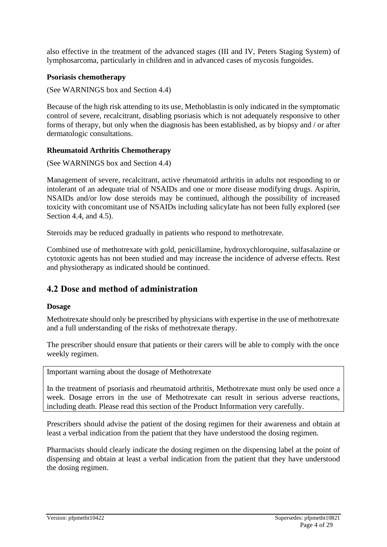also effective in the treatment of the advanced stages (III and IV, Peters Staging System) of lymphosarcoma, particularly in children and in advanced cases of mycosis fungoides.

#### **Psoriasis chemotherapy**

(See WARNINGS box and Section 4.4)

Because of the high risk attending to its use, Methoblastin is only indicated in the symptomatic control of severe, recalcitrant, disabling psoriasis which is not adequately responsive to other forms of therapy, but only when the diagnosis has been established, as by biopsy and / or after dermatologic consultations.

#### **Rheumatoid Arthritis Chemotherapy**

(See WARNINGS box and Section 4.4)

Management of severe, recalcitrant, active rheumatoid arthritis in adults not responding to or intolerant of an adequate trial of NSAIDs and one or more disease modifying drugs. Aspirin, NSAIDs and/or low dose steroids may be continued, although the possibility of increased toxicity with concomitant use of NSAIDs including salicylate has not been fully explored (see Section 4.4, and 4.5).

Steroids may be reduced gradually in patients who respond to methotrexate.

Combined use of methotrexate with gold, penicillamine, hydroxychloroquine, sulfasalazine or cytotoxic agents has not been studied and may increase the incidence of adverse effects. Rest and physiotherapy as indicated should be continued.

# **4.2 Dose and method of administration**

#### **Dosage**

Methotrexate should only be prescribed by physicians with expertise in the use of methotrexate and a full understanding of the risks of methotrexate therapy.

The prescriber should ensure that patients or their carers will be able to comply with the once weekly regimen.

Important warning about the dosage of Methotrexate

In the treatment of psoriasis and rheumatoid arthritis, Methotrexate must only be used once a week. Dosage errors in the use of Methotrexate can result in serious adverse reactions, including death. Please read this section of the Product Information very carefully.

Prescribers should advise the patient of the dosing regimen for their awareness and obtain at least a verbal indication from the patient that they have understood the dosing regimen.

Pharmacists should clearly indicate the dosing regimen on the dispensing label at the point of dispensing and obtain at least a verbal indication from the patient that they have understood the dosing regimen.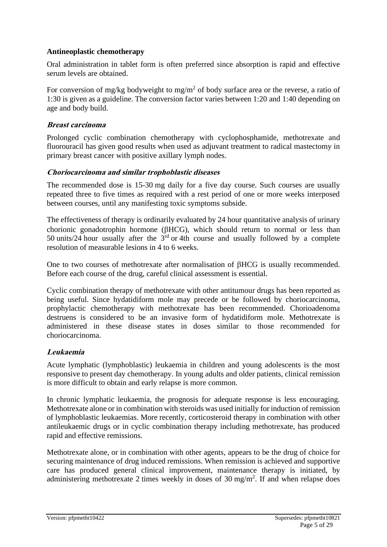### **Antineoplastic chemotherapy**

Oral administration in tablet form is often preferred since absorption is rapid and effective serum levels are obtained.

For conversion of mg/kg bodyweight to mg/m<sup>2</sup> of body surface area or the reverse, a ratio of 1:30 is given as a guideline. The conversion factor varies between 1:20 and 1:40 depending on age and body build.

### **Breast carcinoma**

Prolonged cyclic combination chemotherapy with cyclophosphamide, methotrexate and fluorouracil has given good results when used as adjuvant treatment to radical mastectomy in primary breast cancer with positive axillary lymph nodes.

### **Choriocarcinoma and similar trophoblastic diseases**

The recommended dose is 15-30 mg daily for a five day course. Such courses are usually repeated three to five times as required with a rest period of one or more weeks interposed between courses, until any manifesting toxic symptoms subside.

The effectiveness of therapy is ordinarily evaluated by 24 hour quantitative analysis of urinary chorionic gonadotrophin hormone ( $\beta$ HCG), which should return to normal or less than 50 units/24 hour usually after the  $3<sup>rd</sup>$  or 4th course and usually followed by a complete resolution of measurable lesions in 4 to 6 weeks.

One to two courses of methotrexate after normalisation of  $\beta HCG$  is usually recommended. Before each course of the drug, careful clinical assessment is essential.

Cyclic combination therapy of methotrexate with other antitumour drugs has been reported as being useful. Since hydatidiform mole may precede or be followed by choriocarcinoma, prophylactic chemotherapy with methotrexate has been recommended. Chorioadenoma destruens is considered to be an invasive form of hydatidiform mole. Methotrexate is administered in these disease states in doses similar to those recommended for choriocarcinoma.

# **Leukaemia**

Acute lymphatic (lymphoblastic) leukaemia in children and young adolescents is the most responsive to present day chemotherapy. In young adults and older patients, clinical remission is more difficult to obtain and early relapse is more common.

In chronic lymphatic leukaemia, the prognosis for adequate response is less encouraging. Methotrexate alone or in combination with steroids was used initially for induction of remission of lymphoblastic leukaemias. More recently, corticosteroid therapy in combination with other antileukaemic drugs or in cyclic combination therapy including methotrexate, has produced rapid and effective remissions.

Methotrexate alone, or in combination with other agents, appears to be the drug of choice for securing maintenance of drug induced remissions. When remission is achieved and supportive care has produced general clinical improvement, maintenance therapy is initiated, by administering methotrexate 2 times weekly in doses of  $30 \text{ mg/m}^2$ . If and when relapse does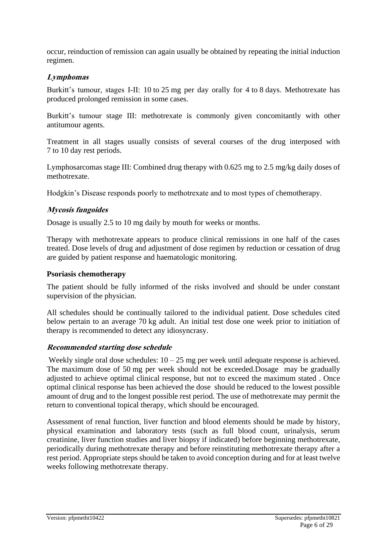occur, reinduction of remission can again usually be obtained by repeating the initial induction regimen.

### **Lymphomas**

Burkitt's tumour, stages I-II: 10 to 25 mg per day orally for 4 to 8 days. Methotrexate has produced prolonged remission in some cases.

Burkitt's tumour stage III: methotrexate is commonly given concomitantly with other antitumour agents.

Treatment in all stages usually consists of several courses of the drug interposed with 7 to 10 day rest periods.

Lymphosarcomas stage III: Combined drug therapy with 0.625 mg to 2.5 mg/kg daily doses of methotrexate.

Hodgkin's Disease responds poorly to methotrexate and to most types of chemotherapy.

#### **Mycosis fungoides**

Dosage is usually 2.5 to 10 mg daily by mouth for weeks or months.

Therapy with methotrexate appears to produce clinical remissions in one half of the cases treated. Dose levels of drug and adjustment of dose regimen by reduction or cessation of drug are guided by patient response and haematologic monitoring.

#### **Psoriasis chemotherapy**

The patient should be fully informed of the risks involved and should be under constant supervision of the physician.

All schedules should be continually tailored to the individual patient. Dose schedules cited below pertain to an average 70 kg adult. An initial test dose one week prior to initiation of therapy is recommended to detect any idiosyncrasy.

#### **Recommended starting dose schedule**

Weekly single oral dose schedules:  $10 - 25$  mg per week until adequate response is achieved. The maximum dose of 50 mg per week should not be exceeded.Dosage may be gradually adjusted to achieve optimal clinical response, but not to exceed the maximum stated . Once optimal clinical response has been achieved the dose should be reduced to the lowest possible amount of drug and to the longest possible rest period. The use of methotrexate may permit the return to conventional topical therapy, which should be encouraged.

Assessment of renal function, liver function and blood elements should be made by history, physical examination and laboratory tests (such as full blood count, urinalysis, serum creatinine, liver function studies and liver biopsy if indicated) before beginning methotrexate, periodically during methotrexate therapy and before reinstituting methotrexate therapy after a rest period. Appropriate steps should be taken to avoid conception during and for at least twelve weeks following methotrexate therapy.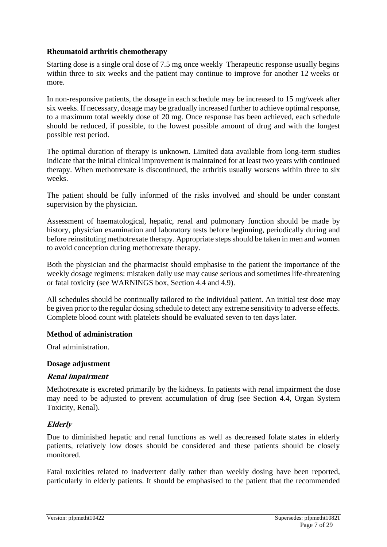### **Rheumatoid arthritis chemotherapy**

Starting dose is a single oral dose of 7.5 mg once weekly Therapeutic response usually begins within three to six weeks and the patient may continue to improve for another 12 weeks or more.

In non-responsive patients, the dosage in each schedule may be increased to 15 mg/week after six weeks. If necessary, dosage may be gradually increased further to achieve optimal response, to a maximum total weekly dose of 20 mg. Once response has been achieved, each schedule should be reduced, if possible, to the lowest possible amount of drug and with the longest possible rest period.

The optimal duration of therapy is unknown. Limited data available from long-term studies indicate that the initial clinical improvement is maintained for at least two years with continued therapy. When methotrexate is discontinued, the arthritis usually worsens within three to six weeks.

The patient should be fully informed of the risks involved and should be under constant supervision by the physician.

Assessment of haematological, hepatic, renal and pulmonary function should be made by history, physician examination and laboratory tests before beginning, periodically during and before reinstituting methotrexate therapy. Appropriate steps should be taken in men and women to avoid conception during methotrexate therapy.

Both the physician and the pharmacist should emphasise to the patient the importance of the weekly dosage regimens: mistaken daily use may cause serious and sometimes life-threatening or fatal toxicity (see WARNINGS box, Section 4.4 and 4.9).

All schedules should be continually tailored to the individual patient. An initial test dose may be given prior to the regular dosing schedule to detect any extreme sensitivity to adverse effects. Complete blood count with platelets should be evaluated seven to ten days later.

#### **Method of administration**

Oral administration.

#### **Dosage adjustment**

#### **Renal impairment**

Methotrexate is excreted primarily by the kidneys. In patients with renal impairment the dose may need to be adjusted to prevent accumulation of drug (see Section 4.4, Organ System Toxicity, Renal).

# **Elderly**

Due to diminished hepatic and renal functions as well as decreased folate states in elderly patients, relatively low doses should be considered and these patients should be closely monitored.

Fatal toxicities related to inadvertent daily rather than weekly dosing have been reported, particularly in elderly patients. It should be emphasised to the patient that the recommended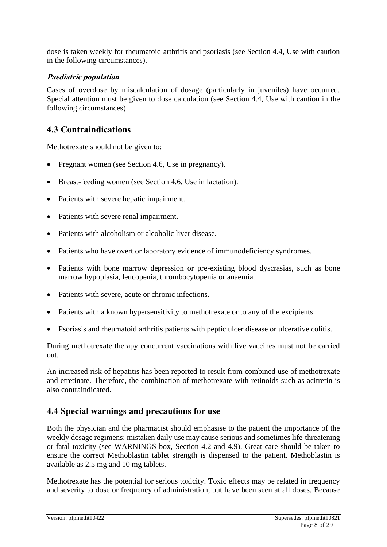dose is taken weekly for rheumatoid arthritis and psoriasis (see Section 4.4, Use with caution in the following circumstances).

### **Paediatric population**

Cases of overdose by miscalculation of dosage (particularly in juveniles) have occurred. Special attention must be given to dose calculation (see Section 4.4, Use with caution in the following circumstances).

# **4.3 Contraindications**

Methotrexate should not be given to:

- Pregnant women (see Section 4.6, Use in pregnancy).
- Breast-feeding women (see Section 4.6, Use in lactation).
- Patients with severe hepatic impairment.
- Patients with severe renal impairment.
- Patients with alcoholism or alcoholic liver disease.
- Patients who have overt or laboratory evidence of immunodeficiency syndromes.
- Patients with bone marrow depression or pre-existing blood dyscrasias, such as bone marrow hypoplasia, leucopenia, thrombocytopenia or anaemia.
- Patients with severe, acute or chronic infections.
- Patients with a known hypersensitivity to methotrexate or to any of the excipients.
- Psoriasis and rheumatoid arthritis patients with peptic ulcer disease or ulcerative colitis.

During methotrexate therapy concurrent vaccinations with live vaccines must not be carried out.

An increased risk of hepatitis has been reported to result from combined use of methotrexate and etretinate. Therefore, the combination of methotrexate with retinoids such as acitretin is also contraindicated.

# **4.4 Special warnings and precautions for use**

Both the physician and the pharmacist should emphasise to the patient the importance of the weekly dosage regimens; mistaken daily use may cause serious and sometimes life-threatening or fatal toxicity (see WARNINGS box, Section 4.2 and 4.9). Great care should be taken to ensure the correct Methoblastin tablet strength is dispensed to the patient. Methoblastin is available as 2.5 mg and 10 mg tablets.

Methotrexate has the potential for serious toxicity. Toxic effects may be related in frequency and severity to dose or frequency of administration, but have been seen at all doses. Because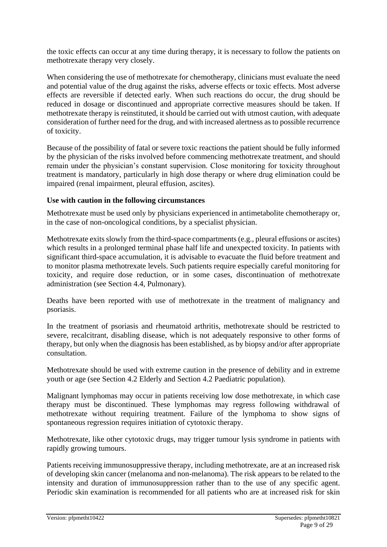the toxic effects can occur at any time during therapy, it is necessary to follow the patients on methotrexate therapy very closely.

When considering the use of methotrexate for chemotherapy, clinicians must evaluate the need and potential value of the drug against the risks, adverse effects or toxic effects. Most adverse effects are reversible if detected early. When such reactions do occur, the drug should be reduced in dosage or discontinued and appropriate corrective measures should be taken. If methotrexate therapy is reinstituted, it should be carried out with utmost caution, with adequate consideration of further need for the drug, and with increased alertness as to possible recurrence of toxicity.

Because of the possibility of fatal or severe toxic reactions the patient should be fully informed by the physician of the risks involved before commencing methotrexate treatment, and should remain under the physician's constant supervision. Close monitoring for toxicity throughout treatment is mandatory, particularly in high dose therapy or where drug elimination could be impaired (renal impairment, pleural effusion, ascites).

#### **Use with caution in the following circumstances**

Methotrexate must be used only by physicians experienced in antimetabolite chemotherapy or, in the case of non-oncological conditions, by a specialist physician.

Methotrexate exits slowly from the third-space compartments (e.g., pleural effusions or ascites) which results in a prolonged terminal phase half life and unexpected toxicity. In patients with significant third-space accumulation, it is advisable to evacuate the fluid before treatment and to monitor plasma methotrexate levels. Such patients require especially careful monitoring for toxicity, and require dose reduction, or in some cases, discontinuation of methotrexate administration (see Section 4.4, Pulmonary).

Deaths have been reported with use of methotrexate in the treatment of malignancy and psoriasis.

In the treatment of psoriasis and rheumatoid arthritis, methotrexate should be restricted to severe, recalcitrant, disabling disease, which is not adequately responsive to other forms of therapy, but only when the diagnosis has been established, as by biopsy and/or after appropriate consultation.

Methotrexate should be used with extreme caution in the presence of debility and in extreme youth or age (see Section 4.2 Elderly and Section 4.2 Paediatric population).

Malignant lymphomas may occur in patients receiving low dose methotrexate, in which case therapy must be discontinued. These lymphomas may regress following withdrawal of methotrexate without requiring treatment. Failure of the lymphoma to show signs of spontaneous regression requires initiation of cytotoxic therapy.

Methotrexate, like other cytotoxic drugs, may trigger tumour lysis syndrome in patients with rapidly growing tumours.

Patients receiving immunosuppressive therapy, including methotrexate, are at an increased risk of developing skin cancer (melanoma and non-melanoma). The risk appears to be related to the intensity and duration of immunosuppression rather than to the use of any specific agent. Periodic skin examination is recommended for all patients who are at increased risk for skin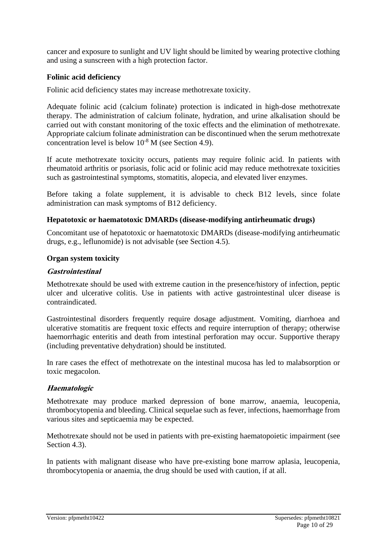cancer and exposure to sunlight and UV light should be limited by wearing protective clothing and using a sunscreen with a high protection factor.

#### **Folinic acid deficiency**

Folinic acid deficiency states may increase methotrexate toxicity.

Adequate folinic acid (calcium folinate) protection is indicated in high-dose methotrexate therapy. The administration of calcium folinate, hydration, and urine alkalisation should be carried out with constant monitoring of the toxic effects and the elimination of methotrexate. Appropriate calcium folinate administration can be discontinued when the serum methotrexate concentration level is below  $10^{-8}$  M (see Section 4.9).

If acute methotrexate toxicity occurs, patients may require folinic acid. In patients with rheumatoid arthritis or psoriasis, folic acid or folinic acid may reduce methotrexate toxicities such as gastrointestinal symptoms, stomatitis, alopecia, and elevated liver enzymes.

Before taking a folate supplement, it is advisable to check B12 levels, since folate administration can mask symptoms of B12 deficiency.

#### **Hepatotoxic or haematotoxic DMARDs (disease-modifying antirheumatic drugs)**

Concomitant use of hepatotoxic or haematotoxic DMARDs (disease-modifying antirheumatic drugs, e.g., leflunomide) is not advisable (see Section 4.5).

#### **Organ system toxicity**

#### **Gastrointestinal**

Methotrexate should be used with extreme caution in the presence/history of infection, peptic ulcer and ulcerative colitis. Use in patients with active gastrointestinal ulcer disease is contraindicated.

Gastrointestinal disorders frequently require dosage adjustment. Vomiting, diarrhoea and ulcerative stomatitis are frequent toxic effects and require interruption of therapy; otherwise haemorrhagic enteritis and death from intestinal perforation may occur. Supportive therapy (including preventative dehydration) should be instituted.

In rare cases the effect of methotrexate on the intestinal mucosa has led to malabsorption or toxic megacolon.

#### **Haematologic**

Methotrexate may produce marked depression of bone marrow, anaemia, leucopenia, thrombocytopenia and bleeding. Clinical sequelae such as fever, infections, haemorrhage from various sites and septicaemia may be expected.

Methotrexate should not be used in patients with pre-existing haematopoietic impairment (see Section 4.3).

In patients with malignant disease who have pre-existing bone marrow aplasia, leucopenia, thrombocytopenia or anaemia, the drug should be used with caution, if at all.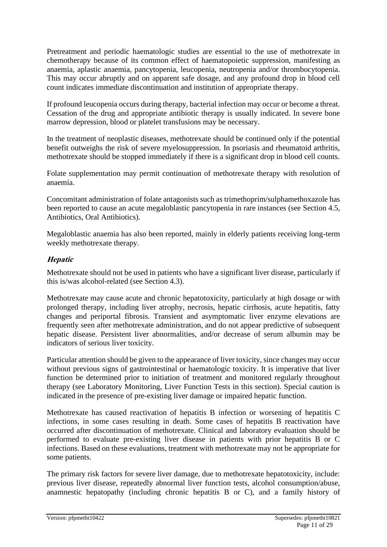Pretreatment and periodic haematologic studies are essential to the use of methotrexate in chemotherapy because of its common effect of haematopoietic suppression, manifesting as anaemia, aplastic anaemia, pancytopenia, leucopenia, neutropenia and/or thrombocytopenia. This may occur abruptly and on apparent safe dosage, and any profound drop in blood cell count indicates immediate discontinuation and institution of appropriate therapy.

If profound leucopenia occurs during therapy, bacterial infection may occur or become a threat. Cessation of the drug and appropriate antibiotic therapy is usually indicated. In severe bone marrow depression, blood or platelet transfusions may be necessary.

In the treatment of neoplastic diseases, methotrexate should be continued only if the potential benefit outweighs the risk of severe myelosuppression. In psoriasis and rheumatoid arthritis, methotrexate should be stopped immediately if there is a significant drop in blood cell counts.

Folate supplementation may permit continuation of methotrexate therapy with resolution of anaemia.

Concomitant administration of folate antagonists such as trimethoprim/sulphamethoxazole has been reported to cause an acute megaloblastic pancytopenia in rare instances (see Section 4.5, Antibiotics, Oral Antibiotics).

Megaloblastic anaemia has also been reported, mainly in elderly patients receiving long-term weekly methotrexate therapy.

# **Hepatic**

Methotrexate should not be used in patients who have a significant liver disease, particularly if this is/was alcohol-related (see Section 4.3).

Methotrexate may cause acute and chronic hepatotoxicity, particularly at high dosage or with prolonged therapy, including liver atrophy, necrosis, hepatic cirrhosis, acute hepatitis, fatty changes and periportal fibrosis. Transient and asymptomatic liver enzyme elevations are frequently seen after methotrexate administration, and do not appear predictive of subsequent hepatic disease. Persistent liver abnormalities, and/or decrease of serum albumin may be indicators of serious liver toxicity.

Particular attention should be given to the appearance of liver toxicity, since changes may occur without previous signs of gastrointestinal or haematologic toxicity. It is imperative that liver function be determined prior to initiation of treatment and monitored regularly throughout therapy (see Laboratory Monitoring, Liver Function Tests in this section). Special caution is indicated in the presence of pre-existing liver damage or impaired hepatic function.

Methotrexate has caused reactivation of hepatitis B infection or worsening of hepatitis C infections, in some cases resulting in death. Some cases of hepatitis B reactivation have occurred after discontinuation of methotrexate. Clinical and laboratory evaluation should be performed to evaluate pre-existing liver disease in patients with prior hepatitis B or C infections. Based on these evaluations, treatment with methotrexate may not be appropriate for some patients.

The primary risk factors for severe liver damage, due to methotrexate hepatotoxicity, include: previous liver disease, repeatedly abnormal liver function tests, alcohol consumption/abuse, anamnestic hepatopathy (including chronic hepatitis B or C), and a family history of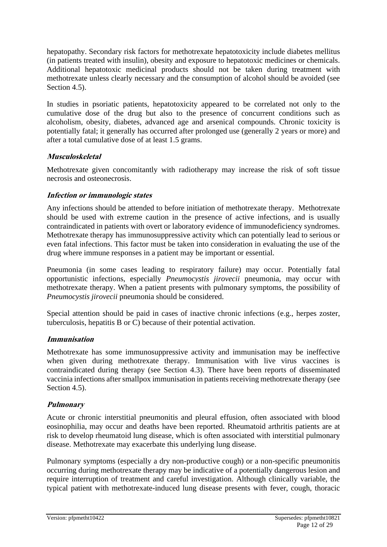hepatopathy. Secondary risk factors for methotrexate hepatotoxicity include diabetes mellitus (in patients treated with insulin), obesity and exposure to hepatotoxic medicines or chemicals. Additional hepatotoxic medicinal products should not be taken during treatment with methotrexate unless clearly necessary and the consumption of alcohol should be avoided (see Section 4.5).

In studies in psoriatic patients, hepatotoxicity appeared to be correlated not only to the cumulative dose of the drug but also to the presence of concurrent conditions such as alcoholism, obesity, diabetes, advanced age and arsenical compounds. Chronic toxicity is potentially fatal; it generally has occurred after prolonged use (generally 2 years or more) and after a total cumulative dose of at least 1.5 grams.

# **Musculoskeletal**

Methotrexate given concomitantly with radiotherapy may increase the risk of soft tissue necrosis and osteonecrosis.

# **Infection or immunologic states**

Any infections should be attended to before initiation of methotrexate therapy. Methotrexate should be used with extreme caution in the presence of active infections, and is usually contraindicated in patients with overt or laboratory evidence of immunodeficiency syndromes. Methotrexate therapy has immunosuppressive activity which can potentially lead to serious or even fatal infections. This factor must be taken into consideration in evaluating the use of the drug where immune responses in a patient may be important or essential.

Pneumonia (in some cases leading to respiratory failure) may occur. Potentially fatal opportunistic infections, especially *Pneumocystis jirovecii* pneumonia, may occur with methotrexate therapy. When a patient presents with pulmonary symptoms, the possibility of *Pneumocystis jirovecii* pneumonia should be considered.

Special attention should be paid in cases of inactive chronic infections (e.g., herpes zoster, tuberculosis, hepatitis B or C) because of their potential activation.

# **Immunisation**

Methotrexate has some immunosuppressive activity and immunisation may be ineffective when given during methotrexate therapy. Immunisation with live virus vaccines is contraindicated during therapy (see Section 4.3). There have been reports of disseminated vaccinia infections after smallpox immunisation in patients receiving methotrexate therapy (see Section 4.5).

# **Pulmonary**

Acute or chronic interstitial pneumonitis and pleural effusion, often associated with blood eosinophilia, may occur and deaths have been reported. Rheumatoid arthritis patients are at risk to develop rheumatoid lung disease, which is often associated with interstitial pulmonary disease. Methotrexate may exacerbate this underlying lung disease.

Pulmonary symptoms (especially a dry non-productive cough) or a non-specific pneumonitis occurring during methotrexate therapy may be indicative of a potentially dangerous lesion and require interruption of treatment and careful investigation. Although clinically variable, the typical patient with methotrexate-induced lung disease presents with fever, cough, thoracic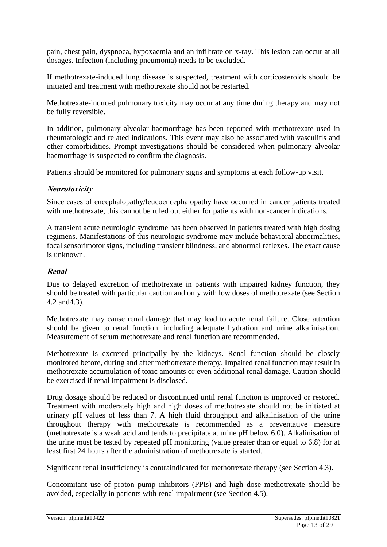pain, chest pain, dyspnoea, hypoxaemia and an infiltrate on x-ray. This lesion can occur at all dosages. Infection (including pneumonia) needs to be excluded.

If methotrexate-induced lung disease is suspected, treatment with corticosteroids should be initiated and treatment with methotrexate should not be restarted.

Methotrexate-induced pulmonary toxicity may occur at any time during therapy and may not be fully reversible.

In addition, pulmonary alveolar haemorrhage has been reported with methotrexate used in rheumatologic and related indications. This event may also be associated with vasculitis and other comorbidities. Prompt investigations should be considered when pulmonary alveolar haemorrhage is suspected to confirm the diagnosis.

Patients should be monitored for pulmonary signs and symptoms at each follow-up visit.

# **Neurotoxicity**

Since cases of encephalopathy/leucoencephalopathy have occurred in cancer patients treated with methotrexate, this cannot be ruled out either for patients with non-cancer indications.

A transient acute neurologic syndrome has been observed in patients treated with high dosing regimens. Manifestations of this neurologic syndrome may include behavioral abnormalities, focal sensorimotor signs, including transient blindness, and abnormal reflexes. The exact cause is unknown.

# **Renal**

Due to delayed excretion of methotrexate in patients with impaired kidney function, they should be treated with particular caution and only with low doses of methotrexate (see Section 4.2 and4.3).

Methotrexate may cause renal damage that may lead to acute renal failure. Close attention should be given to renal function, including adequate hydration and urine alkalinisation. Measurement of serum methotrexate and renal function are recommended.

Methotrexate is excreted principally by the kidneys. Renal function should be closely monitored before, during and after methotrexate therapy. Impaired renal function may result in methotrexate accumulation of toxic amounts or even additional renal damage. Caution should be exercised if renal impairment is disclosed.

Drug dosage should be reduced or discontinued until renal function is improved or restored. Treatment with moderately high and high doses of methotrexate should not be initiated at urinary pH values of less than 7. A high fluid throughput and alkalinisation of the urine throughout therapy with methotrexate is recommended as a preventative measure (methotrexate is a weak acid and tends to precipitate at urine pH below 6.0). Alkalinisation of the urine must be tested by repeated pH monitoring (value greater than or equal to 6.8) for at least first 24 hours after the administration of methotrexate is started.

Significant renal insufficiency is contraindicated for methotrexate therapy (see Section 4.3).

Concomitant use of proton pump inhibitors (PPIs) and high dose methotrexate should be avoided, especially in patients with renal impairment (see Section 4.5).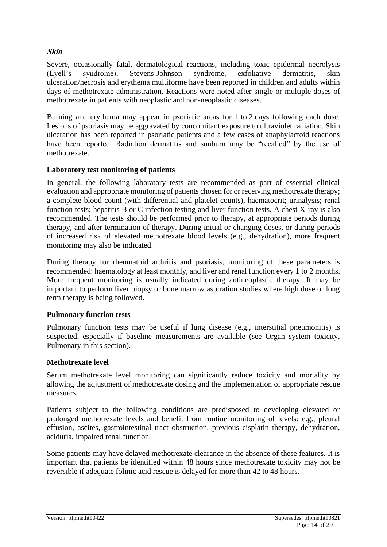### **Skin**

Severe, occasionally fatal, dermatological reactions, including toxic epidermal necrolysis (Lyell's syndrome), Stevens-Johnson syndrome, exfoliative dermatitis, skin ulceration/necrosis and erythema multiforme have been reported in children and adults within days of methotrexate administration. Reactions were noted after single or multiple doses of methotrexate in patients with neoplastic and non-neoplastic diseases.

Burning and erythema may appear in psoriatic areas for 1 to 2 days following each dose. Lesions of psoriasis may be aggravated by concomitant exposure to ultraviolet radiation. Skin ulceration has been reported in psoriatic patients and a few cases of anaphylactoid reactions have been reported. Radiation dermatitis and sunburn may be "recalled" by the use of methotrexate.

#### **Laboratory test monitoring of patients**

In general, the following laboratory tests are recommended as part of essential clinical evaluation and appropriate monitoring of patients chosen for or receiving methotrexate therapy; a complete blood count (with differential and platelet counts), haematocrit; urinalysis; renal function tests; hepatitis B or C infection testing and liver function tests. A chest X-ray is also recommended. The tests should be performed prior to therapy, at appropriate periods during therapy, and after termination of therapy. During initial or changing doses, or during periods of increased risk of elevated methotrexate blood levels (e.g., dehydration), more frequent monitoring may also be indicated.

During therapy for rheumatoid arthritis and psoriasis, monitoring of these parameters is recommended: haematology at least monthly, and liver and renal function every 1 to 2 months. More frequent monitoring is usually indicated during antineoplastic therapy. It may be important to perform liver biopsy or bone marrow aspiration studies where high dose or long term therapy is being followed.

#### **Pulmonary function tests**

Pulmonary function tests may be useful if lung disease (e.g., interstitial pneumonitis) is suspected, especially if baseline measurements are available (see Organ system toxicity, Pulmonary in this section).

#### **Methotrexate level**

Serum methotrexate level monitoring can significantly reduce toxicity and mortality by allowing the adjustment of methotrexate dosing and the implementation of appropriate rescue measures.

Patients subject to the following conditions are predisposed to developing elevated or prolonged methotrexate levels and benefit from routine monitoring of levels: e.g., pleural effusion, ascites, gastrointestinal tract obstruction, previous cisplatin therapy, dehydration, aciduria, impaired renal function.

Some patients may have delayed methotrexate clearance in the absence of these features. It is important that patients be identified within 48 hours since methotrexate toxicity may not be reversible if adequate folinic acid rescue is delayed for more than 42 to 48 hours.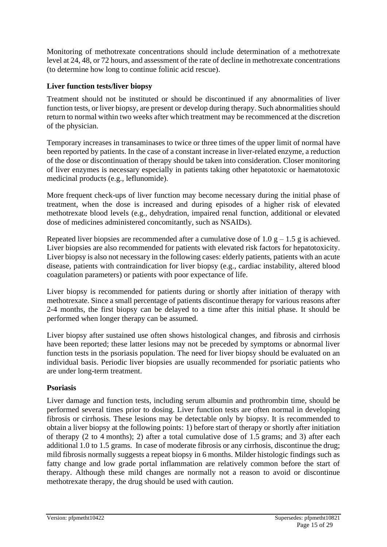Monitoring of methotrexate concentrations should include determination of a methotrexate level at 24, 48, or 72 hours, and assessment of the rate of decline in methotrexate concentrations (to determine how long to continue folinic acid rescue).

# **Liver function tests/liver biopsy**

Treatment should not be instituted or should be discontinued if any abnormalities of liver function tests, or liver biopsy, are present or develop during therapy. Such abnormalities should return to normal within two weeks after which treatment may be recommenced at the discretion of the physician.

Temporary increases in transaminases to twice or three times of the upper limit of normal have been reported by patients. In the case of a constant increase in liver-related enzyme, a reduction of the dose or discontinuation of therapy should be taken into consideration. Closer monitoring of liver enzymes is necessary especially in patients taking other hepatotoxic or haematotoxic medicinal products (e.g., leflunomide).

More frequent check-ups of liver function may become necessary during the initial phase of treatment, when the dose is increased and during episodes of a higher risk of elevated methotrexate blood levels (e.g., dehydration, impaired renal function, additional or elevated dose of medicines administered concomitantly, such as NSAIDs).

Repeated liver biopsies are recommended after a cumulative dose of 1.0  $g - 1.5 g$  is achieved. Liver biopsies are also recommended for patients with elevated risk factors for hepatotoxicity. Liver biopsy is also not necessary in the following cases: elderly patients, patients with an acute disease, patients with contraindication for liver biopsy (e.g., cardiac instability, altered blood coagulation parameters) or patients with poor expectance of life.

Liver biopsy is recommended for patients during or shortly after initiation of therapy with methotrexate. Since a small percentage of patients discontinue therapy for various reasons after 2-4 months, the first biopsy can be delayed to a time after this initial phase. It should be performed when longer therapy can be assumed.

Liver biopsy after sustained use often shows histological changes, and fibrosis and cirrhosis have been reported; these latter lesions may not be preceded by symptoms or abnormal liver function tests in the psoriasis population. The need for liver biopsy should be evaluated on an individual basis. Periodic liver biopsies are usually recommended for psoriatic patients who are under long-term treatment.

# **Psoriasis**

Liver damage and function tests, including serum albumin and prothrombin time, should be performed several times prior to dosing. Liver function tests are often normal in developing fibrosis or cirrhosis. These lesions may be detectable only by biopsy. It is recommended to obtain a liver biopsy at the following points: 1) before start of therapy or shortly after initiation of therapy (2 to 4 months); 2) after a total cumulative dose of 1.5 grams; and 3) after each additional 1.0 to 1.5 grams. In case of moderate fibrosis or any cirrhosis, discontinue the drug; mild fibrosis normally suggests a repeat biopsy in 6 months. Milder histologic findings such as fatty change and low grade portal inflammation are relatively common before the start of therapy. Although these mild changes are normally not a reason to avoid or discontinue methotrexate therapy, the drug should be used with caution.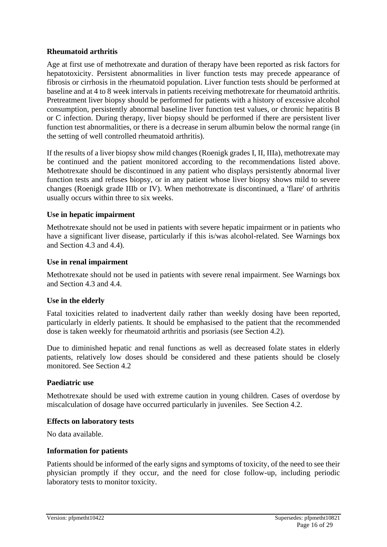#### **Rheumatoid arthritis**

Age at first use of methotrexate and duration of therapy have been reported as risk factors for hepatotoxicity. Persistent abnormalities in liver function tests may precede appearance of fibrosis or cirrhosis in the rheumatoid population. Liver function tests should be performed at baseline and at 4 to 8 week intervals in patients receiving methotrexate for rheumatoid arthritis. Pretreatment liver biopsy should be performed for patients with a history of excessive alcohol consumption, persistently abnormal baseline liver function test values, or chronic hepatitis B or C infection. During therapy, liver biopsy should be performed if there are persistent liver function test abnormalities, or there is a decrease in serum albumin below the normal range (in the setting of well controlled rheumatoid arthritis).

If the results of a liver biopsy show mild changes (Roenigk grades I, II, IIIa), methotrexate may be continued and the patient monitored according to the recommendations listed above. Methotrexate should be discontinued in any patient who displays persistently abnormal liver function tests and refuses biopsy, or in any patient whose liver biopsy shows mild to severe changes (Roenigk grade IIIb or IV). When methotrexate is discontinued, a 'flare' of arthritis usually occurs within three to six weeks.

#### **Use in hepatic impairment**

Methotrexate should not be used in patients with severe hepatic impairment or in patients who have a significant liver disease, particularly if this is/was alcohol-related. See Warnings box and Section 4.3 and 4.4).

#### **Use in renal impairment**

Methotrexate should not be used in patients with severe renal impairment. See Warnings box and Section 4.3 and 4.4.

#### **Use in the elderly**

Fatal toxicities related to inadvertent daily rather than weekly dosing have been reported, particularly in elderly patients. It should be emphasised to the patient that the recommended dose is taken weekly for rheumatoid arthritis and psoriasis (see Section 4.2).

Due to diminished hepatic and renal functions as well as decreased folate states in elderly patients, relatively low doses should be considered and these patients should be closely monitored. See Section 4.2

#### **Paediatric use**

Methotrexate should be used with extreme caution in young children. Cases of overdose by miscalculation of dosage have occurred particularly in juveniles. See Section 4.2.

#### **Effects on laboratory tests**

No data available.

#### **Information for patients**

Patients should be informed of the early signs and symptoms of toxicity, of the need to see their physician promptly if they occur, and the need for close follow-up, including periodic laboratory tests to monitor toxicity.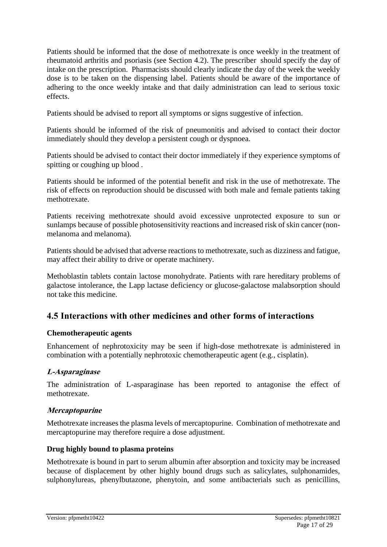Patients should be informed that the dose of methotrexate is once weekly in the treatment of rheumatoid arthritis and psoriasis (see Section 4.2). The prescriber should specify the day of intake on the prescription. Pharmacists should clearly indicate the day of the week the weekly dose is to be taken on the dispensing label. Patients should be aware of the importance of adhering to the once weekly intake and that daily administration can lead to serious toxic effects.

Patients should be advised to report all symptoms or signs suggestive of infection.

Patients should be informed of the risk of pneumonitis and advised to contact their doctor immediately should they develop a persistent cough or dyspnoea.

Patients should be advised to contact their doctor immediately if they experience symptoms of spitting or coughing up blood .

Patients should be informed of the potential benefit and risk in the use of methotrexate. The risk of effects on reproduction should be discussed with both male and female patients taking methotrexate.

Patients receiving methotrexate should avoid excessive unprotected exposure to sun or sunlamps because of possible photosensitivity reactions and increased risk of skin cancer (nonmelanoma and melanoma).

Patients should be advised that adverse reactions to methotrexate, such as dizziness and fatigue, may affect their ability to drive or operate machinery.

Methoblastin tablets contain lactose monohydrate. Patients with rare hereditary problems of galactose intolerance, the Lapp lactase deficiency or glucose-galactose malabsorption should not take this medicine.

# **4.5 Interactions with other medicines and other forms of interactions**

# **Chemotherapeutic agents**

Enhancement of nephrotoxicity may be seen if high-dose methotrexate is administered in combination with a potentially nephrotoxic chemotherapeutic agent (e.g., cisplatin).

# **L-Asparaginase**

The administration of L-asparaginase has been reported to antagonise the effect of methotrexate.

# **Mercaptopurine**

Methotrexate increases the plasma levels of mercaptopurine. Combination of methotrexate and mercaptopurine may therefore require a dose adjustment.

# **Drug highly bound to plasma proteins**

Methotrexate is bound in part to serum albumin after absorption and toxicity may be increased because of displacement by other highly bound drugs such as salicylates, sulphonamides, sulphonylureas, phenylbutazone, phenytoin, and some antibacterials such as penicillins,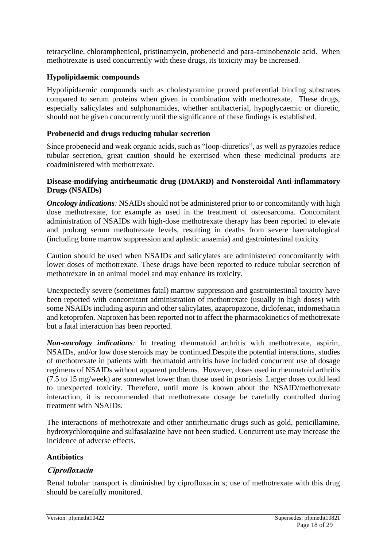tetracycline, chloramphenicol, pristinamycin, probenecid and para-aminobenzoic acid. When methotrexate is used concurrently with these drugs, its toxicity may be increased.

### **Hypolipidaemic compounds**

Hypolipidaemic compounds such as cholestyramine proved preferential binding substrates compared to serum proteins when given in combination with methotrexate. These drugs, especially salicylates and sulphonamides, whether antibacterial, hypoglycaemic or diuretic, should not be given concurrently until the significance of these findings is established.

### **Probenecid and drugs reducing tubular secretion**

Since probenecid and weak organic acids, such as "loop-diuretics", as well as pyrazoles reduce tubular secretion, great caution should be exercised when these medicinal products are coadministered with methotrexate.

#### **Disease-modifying antirheumatic drug (DMARD) and Nonsteroidal Anti-inflammatory Drugs (NSAIDs)**

*Oncology indications*: NSAIDs should not be administered prior to or concomitantly with high dose methotrexate, for example as used in the treatment of osteosarcoma. Concomitant administration of NSAIDs with high-dose methotrexate therapy has been reported to elevate and prolong serum methotrexate levels, resulting in deaths from severe haematological (including bone marrow suppression and aplastic anaemia) and gastrointestinal toxicity.

Caution should be used when NSAIDs and salicylates are administered concomitantly with lower doses of methotrexate. These drugs have been reported to reduce tubular secretion of methotrexate in an animal model and may enhance its toxicity.

Unexpectedly severe (sometimes fatal) marrow suppression and gastrointestinal toxicity have been reported with concomitant administration of methotrexate (usually in high doses) with some NSAIDs including aspirin and other salicylates, azapropazone, diclofenac, indomethacin and ketoprofen. Naproxen has been reported not to affect the pharmacokinetics of methotrexate but a fatal interaction has been reported.

*Non-oncology indications:* In treating rheumatoid arthritis with methotrexate, aspirin, NSAIDs, and/or low dose steroids may be continued.Despite the potential interactions, studies of methotrexate in patients with rheumatoid arthritis have included concurrent use of dosage regimens of NSAIDs without apparent problems. However, doses used in rheumatoid arthritis (7.5 to 15 mg/week) are somewhat lower than those used in psoriasis. Larger doses could lead to unexpected toxicity. Therefore, until more is known about the NSAID/methotrexate interaction, it is recommended that methotrexate dosage be carefully controlled during treatment with NSAIDs.

The interactions of methotrexate and other antirheumatic drugs such as gold, penicillamine, hydroxychloroquine and sulfasalazine have not been studied. Concurrent use may increase the incidence of adverse effects.

#### **Antibiotics**

#### **Ciprofloxacin**

Renal tubular transport is diminished by ciprofloxacin s; use of methotrexate with this drug should be carefully monitored.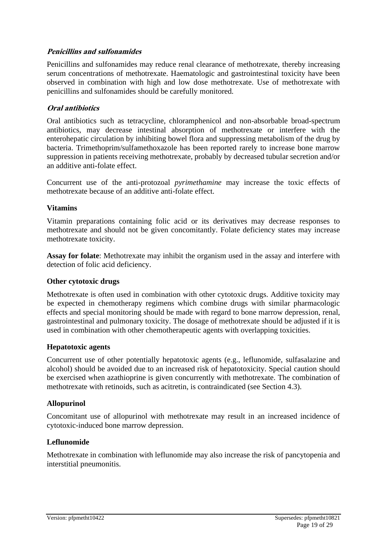### **Penicillins and sulfonamides**

Penicillins and sulfonamides may reduce renal clearance of methotrexate, thereby increasing serum concentrations of methotrexate. Haematologic and gastrointestinal toxicity have been observed in combination with high and low dose methotrexate. Use of methotrexate with penicillins and sulfonamides should be carefully monitored.

#### **Oral antibiotics**

Oral antibiotics such as tetracycline, chloramphenicol and non-absorbable broad-spectrum antibiotics, may decrease intestinal absorption of methotrexate or interfere with the enterohepatic circulation by inhibiting bowel flora and suppressing metabolism of the drug by bacteria. Trimethoprim/sulfamethoxazole has been reported rarely to increase bone marrow suppression in patients receiving methotrexate, probably by decreased tubular secretion and/or an additive anti-folate effect.

Concurrent use of the anti-protozoal *pyrimethamine* may increase the toxic effects of methotrexate because of an additive anti-folate effect.

#### **Vitamins**

Vitamin preparations containing folic acid or its derivatives may decrease responses to methotrexate and should not be given concomitantly. Folate deficiency states may increase methotrexate toxicity.

**Assay for folate**: Methotrexate may inhibit the organism used in the assay and interfere with detection of folic acid deficiency.

#### **Other cytotoxic drugs**

Methotrexate is often used in combination with other cytotoxic drugs. Additive toxicity may be expected in chemotherapy regimens which combine drugs with similar pharmacologic effects and special monitoring should be made with regard to bone marrow depression, renal, gastrointestinal and pulmonary toxicity. The dosage of methotrexate should be adjusted if it is used in combination with other chemotherapeutic agents with overlapping toxicities.

#### **Hepatotoxic agents**

Concurrent use of other potentially hepatotoxic agents (e.g., leflunomide, sulfasalazine and alcohol) should be avoided due to an increased risk of hepatotoxicity. Special caution should be exercised when azathioprine is given concurrently with methotrexate. The combination of methotrexate with retinoids, such as acitretin, is contraindicated (see Section 4.3).

#### **Allopurinol**

Concomitant use of allopurinol with methotrexate may result in an increased incidence of cytotoxic-induced bone marrow depression.

#### **Leflunomide**

Methotrexate in combination with leflunomide may also increase the risk of pancytopenia and interstitial pneumonitis.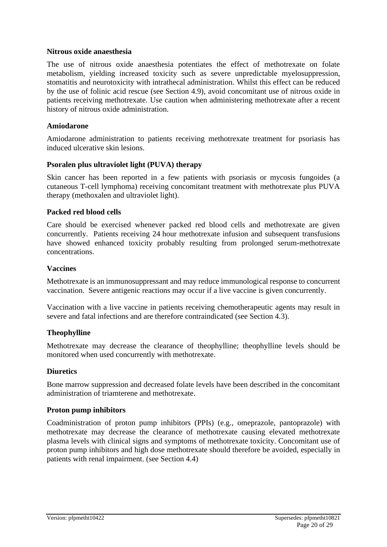#### **Nitrous oxide anaesthesia**

The use of nitrous oxide anaesthesia potentiates the effect of methotrexate on folate metabolism, yielding increased toxicity such as severe unpredictable myelosuppression, stomatitis and neurotoxicity with intrathecal administration. Whilst this effect can be reduced by the use of folinic acid rescue (see Section 4.9), avoid concomitant use of nitrous oxide in patients receiving methotrexate. Use caution when administering methotrexate after a recent history of nitrous oxide administration.

#### **Amiodarone**

Amiodarone administration to patients receiving methotrexate treatment for psoriasis has induced ulcerative skin lesions.

#### **Psoralen plus ultraviolet light (PUVA) therapy**

Skin cancer has been reported in a few patients with psoriasis or mycosis fungoides (a cutaneous T-cell lymphoma) receiving concomitant treatment with methotrexate plus PUVA therapy (methoxalen and ultraviolet light).

#### **Packed red blood cells**

Care should be exercised whenever packed red blood cells and methotrexate are given concurrently. Patients receiving 24 hour methotrexate infusion and subsequent transfusions have showed enhanced toxicity probably resulting from prolonged serum-methotrexate concentrations.

#### **Vaccines**

Methotrexate is an immunosuppressant and may reduce immunological response to concurrent vaccination. Severe antigenic reactions may occur if a live vaccine is given concurrently.

Vaccination with a live vaccine in patients receiving chemotherapeutic agents may result in severe and fatal infections and are therefore contraindicated (see Section 4.3).

#### **Theophylline**

Methotrexate may decrease the clearance of theophylline; theophylline levels should be monitored when used concurrently with methotrexate.

#### **Diuretics**

Bone marrow suppression and decreased folate levels have been described in the concomitant administration of triamterene and methotrexate.

#### **Proton pump inhibitors**

Coadministration of proton pump inhibitors (PPIs) (e.g., omeprazole, pantoprazole) with methotrexate may decrease the clearance of methotrexate causing elevated methotrexate plasma levels with clinical signs and symptoms of methotrexate toxicity. Concomitant use of proton pump inhibitors and high dose methotrexate should therefore be avoided, especially in patients with renal impairment. (see Section 4.4)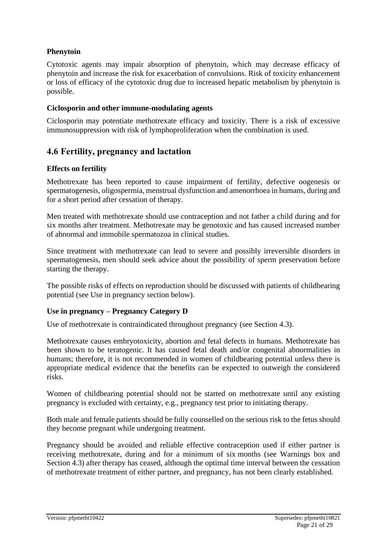# **Phenytoin**

Cytotoxic agents may impair absorption of phenytoin, which may decrease efficacy of phenytoin and increase the risk for exacerbation of convulsions. Risk of toxicity enhancement or loss of efficacy of the cytotoxic drug due to increased hepatic metabolism by phenytoin is possible.

#### **Ciclosporin and other immune-modulating agents**

Ciclosporin may potentiate methotrexate efficacy and toxicity. There is a risk of excessive immunosuppression with risk of lymphoproliferation when the combination is used.

# **4.6 Fertility, pregnancy and lactation**

#### **Effects on fertility**

Methotrexate has been reported to cause impairment of fertility, defective oogenesis or spermatogenesis, oligospermia, menstrual dysfunction and amenorrhoea in humans, during and for a short period after cessation of therapy.

Men treated with methotrexate should use contraception and not father a child during and for six months after treatment. Methotrexate may be genotoxic and has caused increased number of abnormal and immobile spermatozoa in clinical studies.

Since treatment with methotrexate can lead to severe and possibly irreversible disorders in spermatogenesis, men should seek advice about the possibility of sperm preservation before starting the therapy.

The possible risks of effects on reproduction should be discussed with patients of childbearing potential (see Use in pregnancy section below).

#### **Use in pregnancy – Pregnancy Category D**

Use of methotrexate is contraindicated throughout pregnancy (see Section 4.3).

Methotrexate causes embryotoxicity, abortion and fetal defects in humans. Methotrexate has been shown to be teratogenic. It has caused fetal death and/or congenital abnormalities in humans; therefore, it is not recommended in women of childbearing potential unless there is appropriate medical evidence that the benefits can be expected to outweigh the considered risks.

Women of childbearing potential should not be started on methotrexate until any existing pregnancy is excluded with certainty, e.g., pregnancy test prior to initiating therapy.

Both male and female patients should be fully counselled on the serious risk to the fetus should they become pregnant while undergoing treatment.

Pregnancy should be avoided and reliable effective contraception used if either partner is receiving methotrexate, during and for a minimum of six months (see Warnings box and Section 4.3) after therapy has ceased, although the optimal time interval between the cessation of methotrexate treatment of either partner, and pregnancy, has not been clearly established.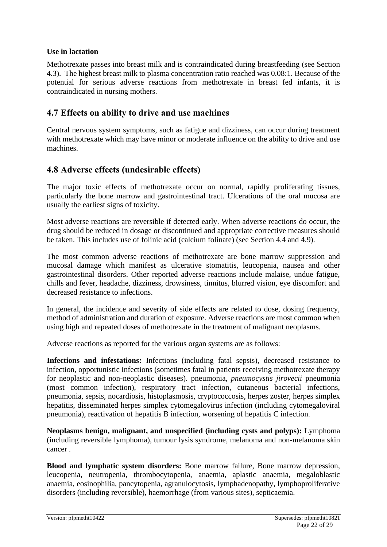### **Use in lactation**

Methotrexate passes into breast milk and is contraindicated during breastfeeding (see Section 4.3). The highest breast milk to plasma concentration ratio reached was 0.08:1. Because of the potential for serious adverse reactions from methotrexate in breast fed infants, it is contraindicated in nursing mothers.

# **4.7 Effects on ability to drive and use machines**

Central nervous system symptoms, such as fatigue and dizziness, can occur during treatment with methotrexate which may have minor or moderate influence on the ability to drive and use machines.

# **4.8 Adverse effects (undesirable effects)**

The major toxic effects of methotrexate occur on normal, rapidly proliferating tissues, particularly the bone marrow and gastrointestinal tract. Ulcerations of the oral mucosa are usually the earliest signs of toxicity.

Most adverse reactions are reversible if detected early. When adverse reactions do occur, the drug should be reduced in dosage or discontinued and appropriate corrective measures should be taken. This includes use of folinic acid (calcium folinate) (see Section 4.4 and 4.9).

The most common adverse reactions of methotrexate are bone marrow suppression and mucosal damage which manifest as ulcerative stomatitis, leucopenia, nausea and other gastrointestinal disorders. Other reported adverse reactions include malaise, undue fatigue, chills and fever, headache, dizziness, drowsiness, tinnitus, blurred vision, eye discomfort and decreased resistance to infections.

In general, the incidence and severity of side effects are related to dose, dosing frequency, method of administration and duration of exposure. Adverse reactions are most common when using high and repeated doses of methotrexate in the treatment of malignant neoplasms.

Adverse reactions as reported for the various organ systems are as follows:

**Infections and infestations:** Infections (including fatal sepsis), decreased resistance to infection, opportunistic infections (sometimes fatal in patients receiving methotrexate therapy for neoplastic and non-neoplastic diseases). pneumonia, *pneumocystis jirovecii* pneumonia (most common infection), respiratory tract infection, cutaneous bacterial infections, pneumonia, sepsis, nocardiosis, histoplasmosis, cryptococcosis, herpes zoster*,* herpes simplex hepatitis, disseminated herpes simplex cytomegalovirus infection (including cytomegaloviral pneumonia), reactivation of hepatitis B infection, worsening of hepatitis C infection.

**Neoplasms benign, malignant, and unspecified (including cysts and polyps):** Lymphoma (including reversible lymphoma), tumour lysis syndrome, melanoma and non-melanoma skin cancer .

**Blood and lymphatic system disorders:** Bone marrow failure, Bone marrow depression, leucopenia, neutropenia, thrombocytopenia, anaemia, aplastic anaemia, megaloblastic anaemia, eosinophilia, pancytopenia, agranulocytosis, lymphadenopathy, lymphoproliferative disorders (including reversible), haemorrhage (from various sites), septicaemia.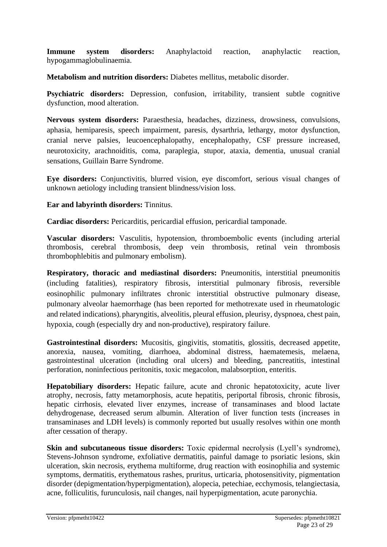**Immune system disorders:** Anaphylactoid reaction, anaphylactic reaction, hypogammaglobulinaemia.

**Metabolism and nutrition disorders:** Diabetes mellitus, metabolic disorder.

Psychiatric disorders: Depression, confusion, irritability, transient subtle cognitive dysfunction, mood alteration.

**Nervous system disorders:** Paraesthesia, headaches, dizziness, drowsiness, convulsions, aphasia, hemiparesis, speech impairment, paresis, dysarthria, lethargy, motor dysfunction, cranial nerve palsies, leucoencephalopathy, encephalopathy, CSF pressure increased, neurotoxicity, arachnoiditis, coma, paraplegia, stupor, ataxia, dementia, unusual cranial sensations, Guillain Barre Syndrome.

**Eye disorders:** Conjunctivitis, blurred vision, eye discomfort, serious visual changes of unknown aetiology including transient blindness/vision loss.

#### **Ear and labyrinth disorders:** Tinnitus.

Cardiac disorders: Pericarditis, pericardial effusion, pericardial tamponade.

**Vascular disorders:** Vasculitis, hypotension, thromboembolic events (including arterial thrombosis, cerebral thrombosis, deep vein thrombosis, retinal vein thrombosis thrombophlebitis and pulmonary embolism).

**Respiratory, thoracic and mediastinal disorders:** Pneumonitis, interstitial pneumonitis (including fatalities), respiratory fibrosis, interstitial pulmonary fibrosis, reversible eosinophilic pulmonary infiltrates chronic interstitial obstructive pulmonary disease, pulmonary alveolar haemorrhage (has been reported for methotrexate used in rheumatologic and related indications), pharyngitis, alveolitis, pleural effusion, pleurisy, dyspnoea, chest pain, hypoxia, cough (especially dry and non-productive), respiratory failure.

**Gastrointestinal disorders:** Mucositis, gingivitis, stomatitis, glossitis, decreased appetite, anorexia, nausea, vomiting, diarrhoea, abdominal distress, haematemesis, melaena, gastrointestinal ulceration (including oral ulcers) and bleeding, pancreatitis, intestinal perforation, noninfectious peritonitis, toxic megacolon, malabsorption, enteritis.

**Hepatobiliary disorders:** Hepatic failure, acute and chronic hepatotoxicity, acute liver atrophy, necrosis, fatty metamorphosis, acute hepatitis, periportal fibrosis, chronic fibrosis, hepatic cirrhosis, elevated liver enzymes, increase of transaminases and blood lactate dehydrogenase, decreased serum albumin. Alteration of liver function tests (increases in transaminases and LDH levels) is commonly reported but usually resolves within one month after cessation of therapy.

**Skin and subcutaneous tissue disorders:** Toxic epidermal necrolysis (Lyell's syndrome), Stevens-Johnson syndrome, exfoliative dermatitis, painful damage to psoriatic lesions, skin ulceration, skin necrosis, erythema multiforme, drug reaction with eosinophilia and systemic symptoms, dermatitis, erythematous rashes, pruritus, urticaria, photosensitivity, pigmentation disorder (depigmentation/hyperpigmentation), alopecia, petechiae, ecchymosis, telangiectasia, acne, folliculitis, furunculosis, nail changes, nail hyperpigmentation, acute paronychia.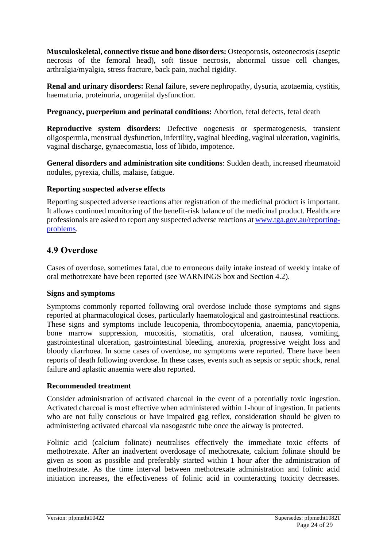**Musculoskeletal, connective tissue and bone disorders:** Osteoporosis, osteonecrosis (aseptic necrosis of the femoral head), soft tissue necrosis, abnormal tissue cell changes, arthralgia/myalgia, stress fracture, back pain, nuchal rigidity.

**Renal and urinary disorders:** Renal failure, severe nephropathy, dysuria, azotaemia, cystitis, haematuria, proteinuria, urogenital dysfunction.

**Pregnancy, puerperium and perinatal conditions:** Abortion, fetal defects, fetal death

**Reproductive system disorders:** Defective oogenesis or spermatogenesis, transient oligospermia, menstrual dysfunction, infertility**,** vaginal bleeding, vaginal ulceration, vaginitis, vaginal discharge, gynaecomastia, loss of libido, impotence.

**General disorders and administration site conditions**: Sudden death, increased rheumatoid nodules, pyrexia, chills, malaise, fatigue.

### **Reporting suspected adverse effects**

Reporting suspected adverse reactions after registration of the medicinal product is important. It allows continued monitoring of the benefit-risk balance of the medicinal product. Healthcare professionals are asked to report any suspected adverse reactions at [www.tga.gov.au/reporting](http://www.tga.gov.au/reporting-problems)[problems.](http://www.tga.gov.au/reporting-problems)

# **4.9 Overdose**

Cases of overdose, sometimes fatal, due to erroneous daily intake instead of weekly intake of oral methotrexate have been reported (see WARNINGS box and Section 4.2).

#### **Signs and symptoms**

Symptoms commonly reported following oral overdose include those symptoms and signs reported at pharmacological doses, particularly haematological and gastrointestinal reactions. These signs and symptoms include leucopenia, thrombocytopenia, anaemia, pancytopenia, bone marrow suppression, mucositis, stomatitis, oral ulceration, nausea, vomiting, gastrointestinal ulceration, gastrointestinal bleeding, anorexia, progressive weight loss and bloody diarrhoea. In some cases of overdose, no symptoms were reported. There have been reports of death following overdose. In these cases, events such as sepsis or septic shock, renal failure and aplastic anaemia were also reported.

#### **Recommended treatment**

Consider administration of activated charcoal in the event of a potentially toxic ingestion. Activated charcoal is most effective when administered within 1-hour of ingestion. In patients who are not fully conscious or have impaired gag reflex, consideration should be given to administering activated charcoal via nasogastric tube once the airway is protected.

Folinic acid (calcium folinate) neutralises effectively the immediate toxic effects of methotrexate. After an inadvertent overdosage of methotrexate, calcium folinate should be given as soon as possible and preferably started within 1 hour after the administration of methotrexate. As the time interval between methotrexate administration and folinic acid initiation increases, the effectiveness of folinic acid in counteracting toxicity decreases.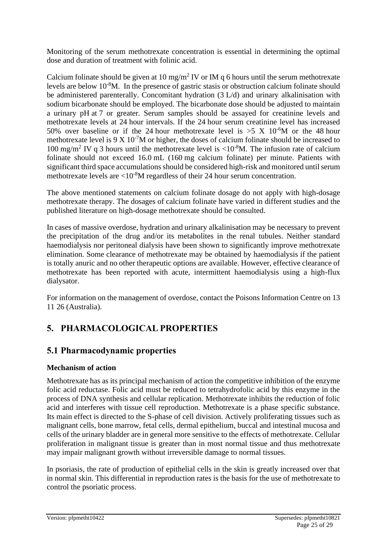Monitoring of the serum methotrexate concentration is essential in determining the optimal dose and duration of treatment with folinic acid.

Calcium folinate should be given at 10 mg/m<sup>2</sup> IV or IM q 6 hours until the serum methotrexate levels are below 10-8M. In the presence of gastric stasis or obstruction calcium folinate should be administered parenterally. Concomitant hydration (3 L/d) and urinary alkalinisation with sodium bicarbonate should be employed. The bicarbonate dose should be adjusted to maintain a urinary pH at 7 or greater. Serum samples should be assayed for creatinine levels and methotrexate levels at 24 hour intervals. If the 24 hour serum creatinine level has increased 50% over baseline or if the 24 hour methotrexate level is  $>5$  X 10<sup>-6</sup>M or the 48 hour methotrexate level is  $9 \times 10^{-7}$ M or higher, the doses of calcium folinate should be increased to 100 mg/m<sup>2</sup> IV q 3 hours until the methotrexate level is  $\langle 10^{-8}$ M. The infusion rate of calcium folinate should not exceed 16.0 mL (160 mg calcium folinate) per minute. Patients with significant third space accumulations should be considered high-risk and monitored until serum methotrexate levels are  $\langle 10^{-8}$ M regardless of their 24 hour serum concentration.

The above mentioned statements on calcium folinate dosage do not apply with high-dosage methotrexate therapy. The dosages of calcium folinate have varied in different studies and the published literature on high-dosage methotrexate should be consulted.

In cases of massive overdose, hydration and urinary alkalinisation may be necessary to prevent the precipitation of the drug and/or its metabolites in the renal tubules. Neither standard haemodialysis nor peritoneal dialysis have been shown to significantly improve methotrexate elimination. Some clearance of methotrexate may be obtained by haemodialysis if the patient is totally anuric and no other therapeutic options are available. However, effective clearance of methotrexate has been reported with acute, intermittent haemodialysis using a high-flux dialysator.

For information on the management of overdose, contact the Poisons Information Centre on 13 11 26 (Australia).

# **5. PHARMACOLOGICAL PROPERTIES**

# **5.1 Pharmacodynamic properties**

# **Mechanism of action**

Methotrexate has as its principal mechanism of action the competitive inhibition of the enzyme folic acid reductase. Folic acid must be reduced to tetrahydrofolic acid by this enzyme in the process of DNA synthesis and cellular replication. Methotrexate inhibits the reduction of folic acid and interferes with tissue cell reproduction. Methotrexate is a phase specific substance. Its main effect is directed to the S-phase of cell division. Actively proliferating tissues such as malignant cells, bone marrow, fetal cells, dermal epithelium, buccal and intestinal mucosa and cells of the urinary bladder are in general more sensitive to the effects of methotrexate. Cellular proliferation in malignant tissue is greater than in most normal tissue and thus methotrexate may impair malignant growth without irreversible damage to normal tissues.

In psoriasis, the rate of production of epithelial cells in the skin is greatly increased over that in normal skin. This differential in reproduction rates is the basis for the use of methotrexate to control the psoriatic process.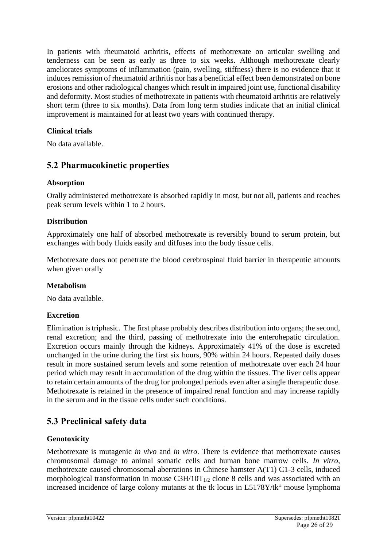In patients with rheumatoid arthritis, effects of methotrexate on articular swelling and tenderness can be seen as early as three to six weeks. Although methotrexate clearly ameliorates symptoms of inflammation (pain, swelling, stiffness) there is no evidence that it induces remission of rheumatoid arthritis nor has a beneficial effect been demonstrated on bone erosions and other radiological changes which result in impaired joint use, functional disability and deformity. Most studies of methotrexate in patients with rheumatoid arthritis are relatively short term (three to six months). Data from long term studies indicate that an initial clinical improvement is maintained for at least two years with continued therapy.

# **Clinical trials**

No data available.

# **5.2 Pharmacokinetic properties**

### **Absorption**

Orally administered methotrexate is absorbed rapidly in most, but not all, patients and reaches peak serum levels within 1 to 2 hours.

# **Distribution**

Approximately one half of absorbed methotrexate is reversibly bound to serum protein, but exchanges with body fluids easily and diffuses into the body tissue cells.

Methotrexate does not penetrate the blood cerebrospinal fluid barrier in therapeutic amounts when given orally

#### **Metabolism**

No data available.

# **Excretion**

Elimination is triphasic. The first phase probably describes distribution into organs; the second, renal excretion; and the third, passing of methotrexate into the enterohepatic circulation. Excretion occurs mainly through the kidneys. Approximately 41% of the dose is excreted unchanged in the urine during the first six hours, 90% within 24 hours. Repeated daily doses result in more sustained serum levels and some retention of methotrexate over each 24 hour period which may result in accumulation of the drug within the tissues. The liver cells appear to retain certain amounts of the drug for prolonged periods even after a single therapeutic dose. Methotrexate is retained in the presence of impaired renal function and may increase rapidly in the serum and in the tissue cells under such conditions.

# **5.3 Preclinical safety data**

# **Genotoxicity**

Methotrexate is mutagenic *in vivo* and *in vitro*. There is evidence that methotrexate causes chromosomal damage to animal somatic cells and human bone marrow cells. *In vitro*, methotrexate caused chromosomal aberrations in Chinese hamster A(T1) C1-3 cells, induced morphological transformation in mouse  $C3H/10T_{1/2}$  clone 8 cells and was associated with an increased incidence of large colony mutants at the tk locus in  $L5178Y/tk^{\pm}$  mouse lymphoma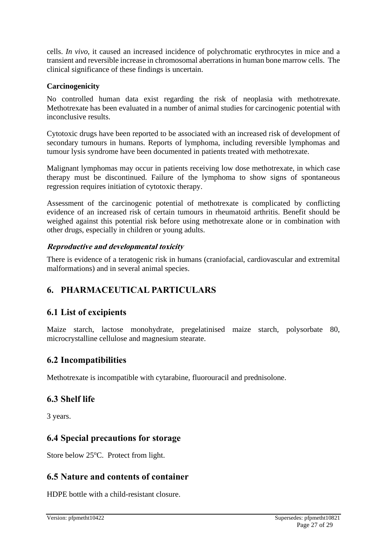cells. *In vivo*, it caused an increased incidence of polychromatic erythrocytes in mice and a transient and reversible increase in chromosomal aberrations in human bone marrow cells. The clinical significance of these findings is uncertain.

# **Carcinogenicity**

No controlled human data exist regarding the risk of neoplasia with methotrexate. Methotrexate has been evaluated in a number of animal studies for carcinogenic potential with inconclusive results.

Cytotoxic drugs have been reported to be associated with an increased risk of development of secondary tumours in humans. Reports of lymphoma, including reversible lymphomas and tumour lysis syndrome have been documented in patients treated with methotrexate.

Malignant lymphomas may occur in patients receiving low dose methotrexate, in which case therapy must be discontinued. Failure of the lymphoma to show signs of spontaneous regression requires initiation of cytotoxic therapy.

Assessment of the carcinogenic potential of methotrexate is complicated by conflicting evidence of an increased risk of certain tumours in rheumatoid arthritis. Benefit should be weighed against this potential risk before using methotrexate alone or in combination with other drugs, especially in children or young adults.

# **Reproductive and developmental toxicity**

There is evidence of a teratogenic risk in humans (craniofacial, cardiovascular and extremital malformations) and in several animal species.

# **6. PHARMACEUTICAL PARTICULARS**

# **6.1 List of excipients**

Maize starch, lactose monohydrate, pregelatinised maize starch, polysorbate 80, microcrystalline cellulose and magnesium stearate.

# **6.2 Incompatibilities**

Methotrexate is incompatible with cytarabine, fluorouracil and prednisolone.

# **6.3 Shelf life**

3 years.

# **6.4 Special precautions for storage**

Store below 25<sup>o</sup>C. Protect from light.

# **6.5 Nature and contents of container**

HDPE bottle with a child-resistant closure.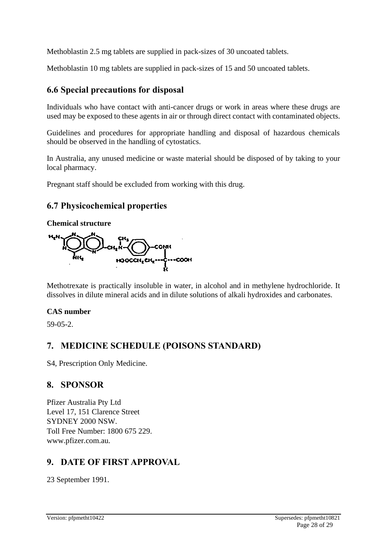Methoblastin 2.5 mg tablets are supplied in pack-sizes of 30 uncoated tablets.

Methoblastin 10 mg tablets are supplied in pack-sizes of 15 and 50 uncoated tablets.

# **6.6 Special precautions for disposal**

Individuals who have contact with anti-cancer drugs or work in areas where these drugs are used may be exposed to these agents in air or through direct contact with contaminated objects.

Guidelines and procedures for appropriate handling and disposal of hazardous chemicals should be observed in the handling of cytostatics.

In Australia, any unused medicine or waste material should be disposed of by taking to your local pharmacy.

Pregnant staff should be excluded from working with this drug.

# **6.7 Physicochemical properties**

#### **Chemical structure**



Methotrexate is practically insoluble in water, in alcohol and in methylene hydrochloride. It dissolves in dilute mineral acids and in dilute solutions of alkali hydroxides and carbonates.

# **CAS number**

59-05-2.

# **7. MEDICINE SCHEDULE (POISONS STANDARD)**

S4, Prescription Only Medicine.

# **8. SPONSOR**

Pfizer Australia Pty Ltd Level 17, 151 Clarence Street SYDNEY 2000 NSW. Toll Free Number: 1800 675 229. www.pfizer.com.au.

# **9. DATE OF FIRST APPROVAL**

23 September 1991.